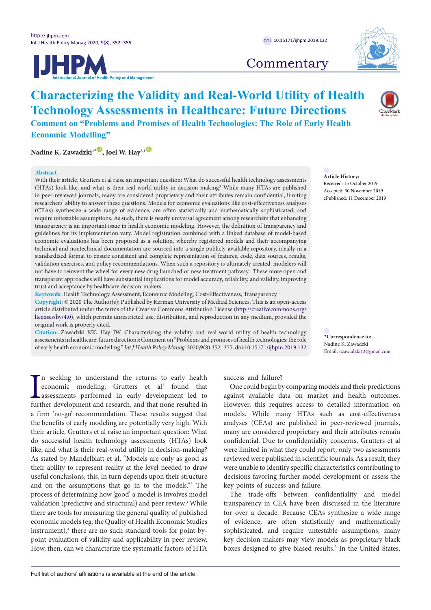



# **Commentary**

# **Characterizing the Validity and Real-World Utility of Health Technology Assessments in Healthcare: Future Directions**

**Comment on "Problems and Promises of Health Technologies: The Role of Early Health Economic Modelling"**

 $N$ adine K. Zawadzki<sup>1[\\*](#page-0-0)</sup> **D**, Joel W. Hay<sup>2,1</sub></sup>

## **Abstract**

With their article, Grutters et al raise an important question: What do successful health technology assessments (HTAs) look like, and what is their real-world utility in decision-making? While many HTAs are published in peer-reviewed journals, many are considered proprietary and their attributes remain confidential, limiting researchers' ability to answer these questions. Models for economic evaluations like cost-effectiveness analyses (CEAs) synthesize a wide range of evidence, are often statistically and mathematically sophisticated, and require untestable assumptions. As such, there is nearly universal agreement among researchers that enhancing transparency is an important issue in health economic modeling. However, the definition of transparency and guidelines for its implementation vary. Model registration combined with a linked database of model-based economic evaluations has been proposed as a solution, whereby registered models and their accompanying technical and nontechnical documentation are sourced into a single publicly-available repository, ideally in a standardized format to ensure consistent and complete representation of features, code, data sources, results, validation exercises, and policy recommendations. When such a repository is ultimately created, modelers will not have to reinvent the wheel for every new drug launched or new treatment pathway. These more open and transparent approaches will have substantial implications for model accuracy, reliability, and validity, improving trust and acceptance by healthcare decision-makers.

**Keywords:** Health Technology Assessment, Economic Modeling, Cost-Effectiveness, Transparency

**Copyright:** © 2020 The Author(s); Published by Kerman University of Medical Sciences. This is an open-access article distributed under the terms of the Creative Commons Attribution License [\(http://creativecommons.org/](http://creativecommons.org/licenses/by/4.0) [licenses/by/4.0](http://creativecommons.org/licenses/by/4.0)), which permits unrestricted use, distribution, and reproduction in any medium, provided the original work is properly cited.

**Citation:** Zawadzki NK, Hay JW. Characterizing the validity and real-world utility of health technology assessments in healthcare: future directions: Comment on "Problems and promises of health technologies: the role of early health economic modelling." *Int J Health Policy Manag.* 2020;9(8):352–355. doi:[10.15171/ijhpm.2019.132](https://doi.org/10.15171/ijhpm.2019.132)

**Article History:** Received: 15 October 2019 Accepted: 30 November 2019 ePublished: 11 December 2019

<span id="page-0-0"></span>**\*Correspondence to:** Nadine K. Zawadzki Email: nzawadzki13@gmail.com

 $\blacksquare$  <br> In seeking to understand the returns to early health economic modeling, Grutters et al<sup>1</sup> found that assessments performed in early development led to further development and research, and that none resulted in n seeking to understand the returns to early health economic modeling, Grutters et al<sup>1</sup> found that assessments performed in early development led to a firm 'no-go' recommendation. These results suggest that the benefits of early modeling are potentially very high. With their article, Grutters et al raise an important question: What do successful health technology assessments (HTAs) look like, and what is their real-world utility in decision-making? As stated by Mandelblatt et al, "Models are only as good as their ability to represent reality at the level needed to draw useful conclusions; this, in turn depends upon their structure and on the assumptions that go in to the models."2 The process of determining how 'good' a model is involves model validation (predictive and structural) and peer review.<sup>3</sup> While there are tools for measuring the general quality of published economic models (eg, the Quality of Health Economic Studies instrument),<sup>4</sup> there are no such standard tools for point-bypoint evaluation of validity and applicability in peer review. How, then, can we characterize the systematic factors of HTA success and failure?

One could begin by comparing models and their predictions against available data on market and health outcomes. However, this requires access to detailed information on models. While many HTAs such as cost-effectiveness analyses (CEAs) are published in peer-reviewed journals, many are considered proprietary and their attributes remain confidential. Due to confidentiality concerns, Grutters et al were limited in what they could report; only two assessments reviewed were published in scientific journals. As a result, they were unable to identify specific characteristics contributing to decisions favoring further model development or assess the key points of success and failure.

The trade-offs between confidentiality and model transparency in CEA have been discussed in the literature for over a decade. Because CEAs synthesize a wide range of evidence, are often statistically and mathematically sophisticated, and require untestable assumptions, many key decision-makers may view models as proprietary black boxes designed to give biased results.<sup>5</sup> In the United States,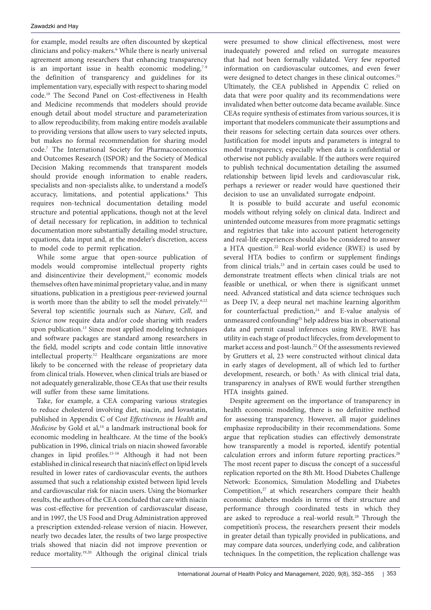for example, model results are often discounted by skeptical clinicians and policy-makers.6 While there is nearly universal agreement among researchers that enhancing transparency is an important issue in health economic modeling, $7-9$ the definition of transparency and guidelines for its implementation vary, especially with respect to sharing model code.10 The Second Panel on Cost-effectiveness in Health and Medicine recommends that modelers should provide enough detail about model structure and parameterization to allow reproducibility, from making entire models available to providing versions that allow users to vary selected inputs, but makes no formal recommendation for sharing model code.7 The International Society for Pharmacoeconomics and Outcomes Research (ISPOR) and the Society of Medical Decision Making recommends that transparent models should provide enough information to enable readers, specialists and non-specialists alike, to understand a model's accuracy, limitations, and potential applications.<sup>8</sup> This requires non-technical documentation detailing model structure and potential applications, though not at the level of detail necessary for replication, in addition to technical documentation more substantially detailing model structure, equations, data input and, at the modeler's discretion, access to model code to permit replication.

While some argue that open-source publication of models would compromise intellectual property rights and disincentivize their development,<sup>11</sup> economic models themselves often have minimal proprietary value, and in many situations, publication in a prestigious peer-reviewed journal is worth more than the ability to sell the model privately.<sup>6,12</sup> Several top scientific journals such as *Nature*, *Cell*, and *Science* now require data and/or code sharing with readers upon publication.13 Since most applied modeling techniques and software packages are standard among researchers in the field, model scripts and code contain little innovative intellectual property.<sup>12</sup> Healthcare organizations are more likely to be concerned with the release of proprietary data from clinical trials. However, when clinical trials are biased or not adequately generalizable, those CEAs that use their results will suffer from these same limitations.

Take, for example, a CEA comparing various strategies to reduce cholesterol involving diet, niacin, and lovastatin, published in Appendix C of *Cost Effectiveness in Health and Medicine* by Gold et al,<sup>14</sup> a landmark instructional book for economic modeling in healthcare. At the time of the book's publication in 1996, clinical trials on niacin showed favorable changes in lipid profiles.15-18 Although it had not been established in clinical research that niacin's effect on lipid levels resulted in lower rates of cardiovascular events, the authors assumed that such a relationship existed between lipid levels and cardiovascular risk for niacin users. Using the biomarker results, the authors of the CEA concluded that care with niacin was cost-effective for prevention of cardiovascular disease, and in 1997, the US Food and Drug Administration approved a prescription extended-release version of niacin. However, nearly two decades later, the results of two large prospective trials showed that niacin did not improve prevention or reduce mortality.19,20 Although the original clinical trials were presumed to show clinical effectiveness, most were inadequately powered and relied on surrogate measures that had not been formally validated. Very few reported information on cardiovascular outcomes, and even fewer were designed to detect changes in these clinical outcomes.<sup>21</sup> Ultimately, the CEA published in Appendix C relied on data that were poor quality and its recommendations were invalidated when better outcome data became available. Since CEAs require synthesis of estimates from various sources, it is important that modelers communicate their assumptions and their reasons for selecting certain data sources over others. Justification for model inputs and parameters is integral to model transparency, especially when data is confidential or otherwise not publicly available. If the authors were required to publish technical documentation detailing the assumed relationship between lipid levels and cardiovascular risk, perhaps a reviewer or reader would have questioned their decision to use an unvalidated surrogate endpoint.

It is possible to build accurate and useful economic models without relying solely on clinical data. Indirect and unintended outcome measures from more pragmatic settings and registries that take into account patient heterogeneity and real-life experiences should also be considered to answer a HTA question.<sup>22</sup> Real-world evidence (RWE) is used by several HTA bodies to confirm or supplement findings from clinical trials,<sup>23</sup> and in certain cases could be used to demonstrate treatment effects when clinical trials are not feasible or unethical, or when there is significant unmet need. Advanced statistical and data science techniques such as Deep IV, a deep neural net machine learning algorithm for counterfactual prediction,<sup>24</sup> and E-value analysis of unmeasured confounding<sup>25</sup> help address bias in observational data and permit causal inferences using RWE. RWE has utility in each stage of product lifecycles, from development to market access and post-launch.22 Of the assessments reviewed by Grutters et al, 23 were constructed without clinical data in early stages of development, all of which led to further development, research, or both.<sup>1</sup> As with clinical trial data, transparency in analyses of RWE would further strengthen HTA insights gained.

Despite agreement on the importance of transparency in health economic modeling, there is no definitive method for assessing transparency. However, all major guidelines emphasize reproducibility in their recommendations. Some argue that replication studies can effectively demonstrate how transparently a model is reported, identify potential calculation errors and inform future reporting practices.<sup>26</sup> The most recent paper to discuss the concept of a successful replication reported on the 8th Mt. Hood Diabetes Challenge Network: Economics, Simulation Modelling and Diabetes Competition,<sup>27</sup> at which researchers compare their health economic diabetes models in terms of their structure and performance through coordinated tests in which they are asked to reproduce a real-world result.<sup>28</sup> Through the competition's process, the researchers present their models in greater detail than typically provided in publications, and may compare data sources, underlying code, and calibration techniques. In the competition, the replication challenge was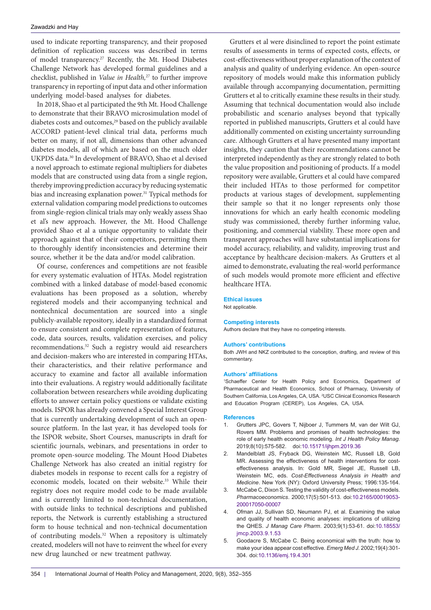## Zawadzki and Hay

used to indicate reporting transparency, and their proposed definition of replication success was described in terms of model transparency.27 Recently, the Mt. Hood Diabetes Challenge Network has developed formal guidelines and a checklist, published in *Value in Health,*27 to further improve transparency in reporting of input data and other information underlying model-based analyses for diabetes.

In 2018, Shao et al participated the 9th Mt. Hood Challenge to demonstrate that their BRAVO microsimulation model of diabetes costs and outcomes,<sup>29</sup> based on the publicly available ACCORD patient-level clinical trial data, performs much better on many, if not all, dimensions than other advanced diabetes models, all of which are based on the much older UKPDS data.30 In development of BRAVO, Shao et al devised a novel approach to estimate regional multipliers for diabetes models that are constructed using data from a single region, thereby improving prediction accuracy by reducing systematic bias and increasing explanation power.<sup>31</sup> Typical methods for external validation comparing model predictions to outcomes from single-region clinical trials may only weakly assess Shao et al's new approach. However, the Mt. Hood Challenge provided Shao et al a unique opportunity to validate their approach against that of their competitors, permitting them to thoroughly identify inconsistencies and determine their source, whether it be the data and/or model calibration.

Of course, conferences and competitions are not feasible for every systematic evaluation of HTAs. Model registration combined with a linked database of model-based economic evaluations has been proposed as a solution, whereby registered models and their accompanying technical and nontechnical documentation are sourced into a single publicly-available repository, ideally in a standardized format to ensure consistent and complete representation of features, code, data sources, results, validation exercises, and policy recommendations.32 Such a registry would aid researchers and decision-makers who are interested in comparing HTAs, their characteristics, and their relative performance and accuracy to examine and factor all available information into their evaluations. A registry would additionally facilitate collaboration between researchers while avoiding duplicating efforts to answer certain policy questions or validate existing models. ISPOR has already convened a Special Interest Group that is currently undertaking development of such an opensource platform. In the last year, it has developed tools for the ISPOR website, Short Courses, manuscripts in draft for scientific journals, webinars, and presentations in order to promote open-source modeling. The Mount Hood Diabetes Challenge Network has also created an initial registry for diabetes models in response to recent calls for a registry of economic models, located on their website.33 While their registry does not require model code to be made available and is currently limited to non-technical documentation, with outside links to technical descriptions and published reports, the Network is currently establishing a structured form to house technical and non-technical documentation of contributing models.32 When a repository is ultimately created, modelers will not have to reinvent the wheel for every new drug launched or new treatment pathway.

Grutters et al were disinclined to report the point estimate results of assessments in terms of expected costs, effects, or cost-effectiveness without proper explanation of the context of analysis and quality of underlying evidence. An open-source repository of models would make this information publicly available through accompanying documentation, permitting Grutters et al to critically examine these results in their study. Assuming that technical documentation would also include probabilistic and scenario analyses beyond that typically reported in published manuscripts, Grutters et al could have additionally commented on existing uncertainty surrounding care. Although Grutters et al have presented many important insights, they caution that their recommendations cannot be interpreted independently as they are strongly related to both the value proposition and positioning of products. If a model repository were available, Grutters et al could have compared their included HTAs to those performed for competitor products at various stages of development, supplementing their sample so that it no longer represents only those innovations for which an early health economic modeling study was commissioned, thereby further informing value, positioning, and commercial viability. These more open and transparent approaches will have substantial implications for model accuracy, reliability, and validity, improving trust and acceptance by healthcare decision-makers. As Grutters et al aimed to demonstrate, evaluating the real-world performance of such models would promote more efficient and effective healthcare HTA.

#### **Ethical issues**

Not applicable.

# **Competing interests**

Authors declare that they have no competing interests.

#### **Authors' contributions**

Both JWH and NKZ contributed to the conception, drafting, and review of this commentary.

#### **Authors' affiliations**

1 Schaeffer Center for Health Policy and Economics, Department of Pharmaceutical and Health Economics, School of Pharmacy, University of Southern California, Los Angeles, CA, USA. 2 USC Clinical Economics Research and Education Program (CEREP), Los Angeles, CA, USA.

#### **References**

- 1. Grutters JPC, Govers T, Nijboer J, Tummers M, van der Wilt GJ, Rovers MM. Problems and promises of health technologies: the role of early health economic modeling. *Int J Health Policy Manag.* 2019;8(10):575-582. doi:[10.15171/ijhpm.2019.36](https://doi.org/10.15171/ijhpm.2019.36)
- 2. Mandelblatt JS, Fryback DG, Weinstein MC, Russell LB, Gold MR. Assessing the effectiveness of health interventions for costeffectiveness analysis. In: Gold MR, Siegel JE, Russell LB, Weinstein MC, eds. *Cost-Effectiveness Analysis in Health and Medicine*. New York (NY): Oxford University Press; 1996:135-164.
- McCabe C, Dixon S. Testing the validity of cost-effectiveness models. *Pharmacoeconomics*. 2000;17(5):501-513. doi:[10.2165/00019053-](https://doi.org/10.2165/00019053-200017050-00007) [200017050-00007](https://doi.org/10.2165/00019053-200017050-00007)
- Ofman JJ, Sullivan SD, Neumann PJ, et al. Examining the value and quality of health economic analyses: implications of utilizing the QHES. *J Manag Care Pharm*. 2003;9(1):53-61. doi:[10.18553/](https://doi.org/10.18553/jmcp.2003.9.1.53) imcp.2003.9.1.53
- 5. Goodacre S, McCabe C. Being economical with the truth: how to make your idea appear cost effective. *Emerg Med J.* 2002;19(4):301- 304. doi:[10.1136/emj.19.4.301](https://doi.org/10.1136/emj.19.4.301)